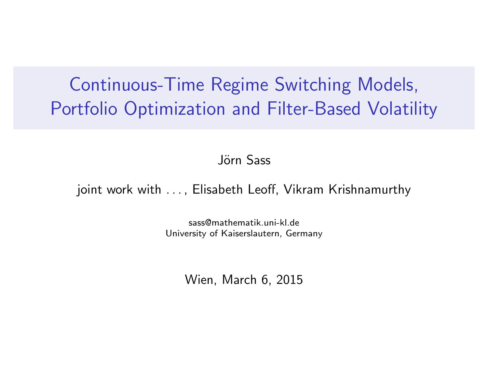# Continuous-Time Regime Switching Models, Portfolio Optimization and Filter-Based Volatility

Jörn Sass

joint work with . . . , Elisabeth Leoff, Vikram Krishnamurthy

sass@mathematik.uni-kl.de University of Kaiserslautern, Germany

Wien, March 6, 2015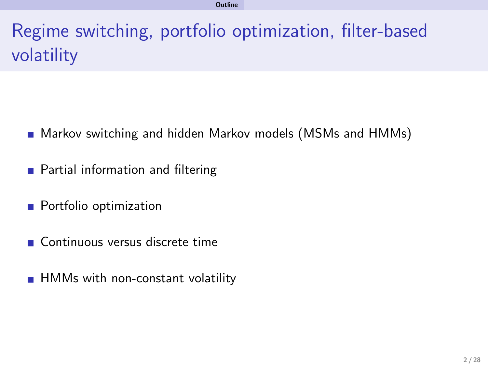# Regime switching, portfolio optimization, filter-based volatility

- **Markov switching and hidden Markov models (MSMs and HMMs)**
- **Partial information and filtering**
- **Portfolio optimization**
- Continuous versus discrete time
- <span id="page-1-0"></span>■ HMMs with non-constant volatility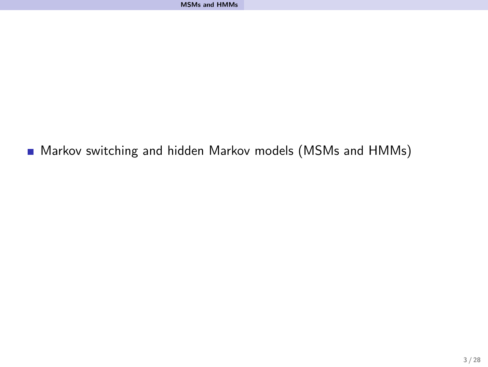<span id="page-2-0"></span>**Markov switching and hidden Markov models (MSMs and HMMs)**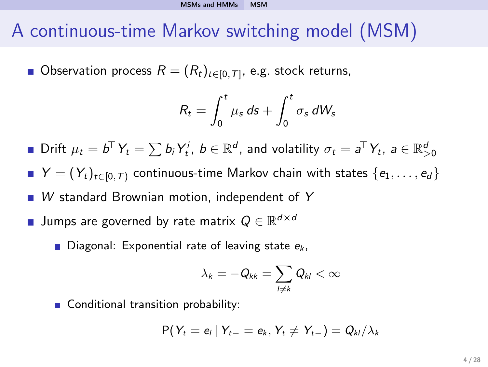# A continuous-time Markov switching model (MSM)

Observation process  $R=(R_t)_{t\in[0,\mathcal{T}]},$  e.g. stock returns,

$$
R_t = \int_0^t \mu_s \, ds + \int_0^t \sigma_s \, dW_s
$$

Drift  $\mu_t = b^{\top} Y_t = \sum b_i Y_t^i$ ,  $b \in \mathbb{R}^d$ , and volatility  $\sigma_t = a^{\top} Y_t$ ,  $a \in \mathbb{R}_{>0}^d$ 

- $Y = (Y_t)_{t \in [0, T]}$  continuous-time Markov chain with states  $\{e_1, \ldots, e_d\}$
- $\blacksquare$  W standard Brownian motion, independent of Y
- Jumps are governed by rate matrix  $Q \in \mathbb{R}^{d \times d}$ 
	- Diagonal: Exponential rate of leaving state  $e_k$ ,

<span id="page-3-0"></span>
$$
\lambda_k=-Q_{kk}=\sum_{l\neq k}Q_{kl}<\infty
$$

**Conditional transition probability:** 

$$
P(Y_t = e_l | Y_{t-} = e_k, Y_t \neq Y_{t-}) = Q_{kl}/\lambda_k
$$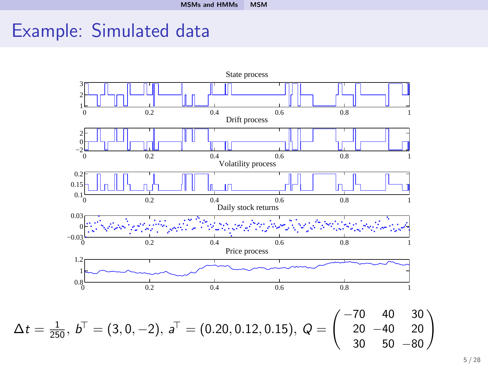# Example: Simulated data

<span id="page-4-0"></span>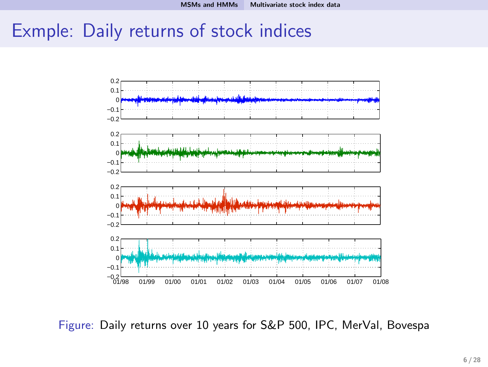# Exmple: Daily returns of stock indices



<span id="page-5-0"></span>Figure: Daily returns over 10 years for S&P 500, IPC, MerVal, Bovespa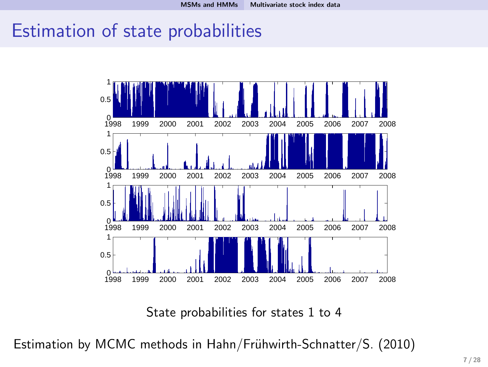# Estimation of state probabilities



<span id="page-6-0"></span>State probabilities for states 1 to 4

Estimation by MCMC methods in Hahn/Frühwirth-Schnatter/S. (2010)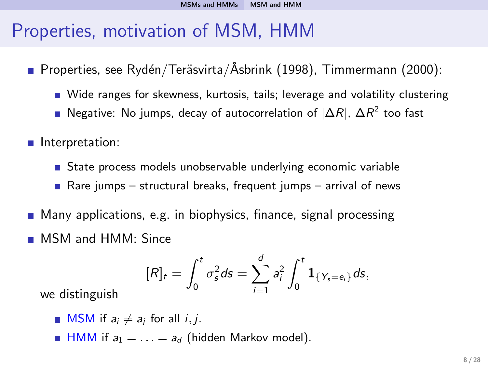# Properties, motivation of MSM, HMM

- Properties, see Rydén/Teräsvirta/Åsbrink (1998), Timmermann (2000):
	- Wide ranges for skewness, kurtosis, tails; leverage and volatility clustering
	- Negative: No jumps, decay of autocorrelation of  $|\Delta R|$ ,  $\Delta R^2$  too fast
- Interpretation:
	- State process models unobservable underlying economic variable
	- Rare jumps structural breaks, frequent jumps arrival of news
- **Many applications, e.g. in biophysics, finance, signal processing MSM** and HMM: Since

<span id="page-7-0"></span>
$$
[R]_t = \int_0^t \sigma_s^2 ds = \sum_{i=1}^d a_i^2 \int_0^t \mathbf{1}_{\{Y_s = e_i\}} ds,
$$

we distinguish

- **MSM** if  $a_i \neq a_j$  for all *i*, *i*.
- **HMM** if  $a_1 = \ldots = a_d$  (hidden Markov model).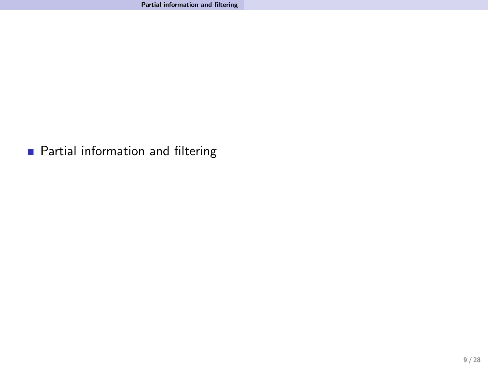<span id="page-8-0"></span>**Partial information and filtering**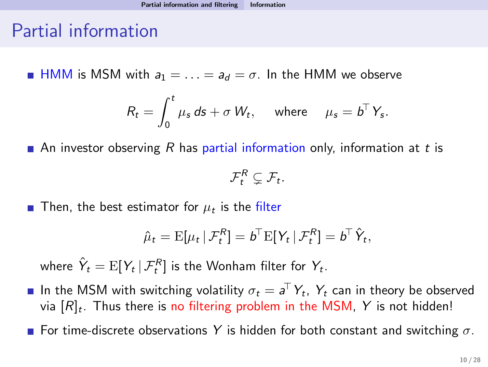# Partial information

**HMM** is MSM with  $a_1 = \ldots = a_d = \sigma$ . In the HMM we observe

$$
R_t = \int_0^t \mu_s \, ds + \sigma \, W_t, \quad \text{where} \quad \mu_s = b^\top Y_s.
$$

An investor observing R has partial information only, information at t is

<span id="page-9-0"></span>
$$
\mathcal{F}_t^R \subsetneq \mathcal{F}_t.
$$

Then, the best estimator for  $\mu_t$  is the filter

$$
\hat{\mu}_t = \mathrm{E}[\mu_t | \mathcal{F}_t^R] = \mathbf{b}^\top \mathrm{E}[\mathbf{Y}_t | \mathcal{F}_t^R] = \mathbf{b}^\top \hat{\mathbf{Y}}_t,
$$

where  $\hat{Y}_t = \mathrm{E}[Y_t \, | \, \mathcal{F}^R_t]$  is the Wonham filter for  $Y_t.$ 

- In the MSM with switching volatility  $\sigma_t = \mathsf{a}^\top\, Y_t, \; Y_t$  can in theory be observed via  $[R]_t$ . Thus there is no filtering problem in the MSM,  $\boldsymbol{Y}$  is not hidden!
- For time-discrete observations Y is hidden for both constant and switching  $\sigma$ .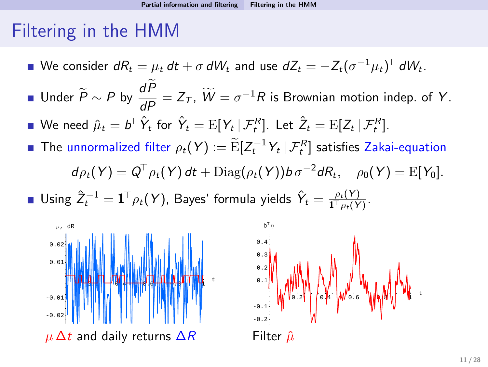# Filtering in the HMM

- We consider  $dR_t = \mu_t dt + \sigma dW_t$  and use  $dZ_t = -Z_t(\sigma^{-1}\mu_t)^{\top} dW_t$ .
- Under  $\widetilde{P} \sim P$  by  $\displaystyle{\frac{dP}{dP}=Z_T\,,\; \widetilde{W}=\sigma^{-1}R}$  is Brownian motion indep. of Y.
- We need  $\hat{\mu}_t = b^{\top} \hat{Y}_t$  for  $\hat{Y}_t = \mathrm{E}[Y_t | \mathcal{F}_t^R]$ . Let  $\hat{Z}_t = \mathrm{E}[Z_t | \mathcal{F}_t^R]$ .
- The unnormalized filter  $\rho_t(Y) := \widetilde{\mathrm{E}}[Z_t^{-1}Y_t\,|\,\mathcal{F}_t^R]$  satisfies Zakai-equation  $d\rho_t(Y) = Q^{\top} \rho_t(Y) dt + \text{Diag}(\rho_t(Y)) b \sigma^{-2} dR_t, \quad \rho_0(Y) = \text{E}[Y_0].$

Using 
$$
\hat{Z}_t^{-1} = \mathbf{1}^{\top} \rho_t(Y)
$$
, Bayes' formula yields  $\hat{Y}_t = \frac{\rho_t(Y)}{\mathbf{1}^{\top} \rho_t(Y)}$ .



<span id="page-10-0"></span>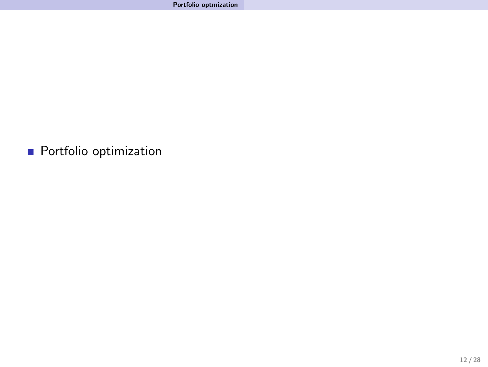<span id="page-11-0"></span>**Portfolio optimization**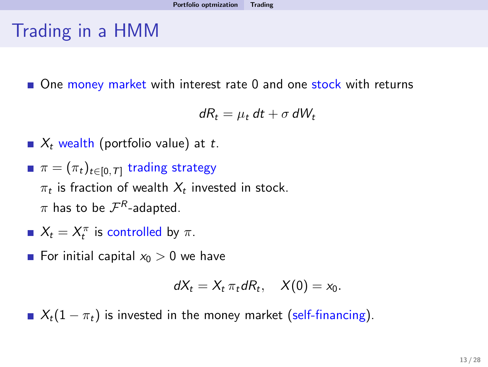# Trading in a HMM

■ One money market with interest rate 0 and one stock with returns

 $dR_t = \mu_t dt + \sigma dW_t$ 

- $\blacksquare$   $X_t$  wealth (portfolio value) at t.
- $\pi = (\pi_t)_{t \in [0,\mathcal{T}]}$  trading strategy  $\pi_t$  is fraction of wealth  $X_t$  invested in stock.  $\pi$  has to be  $\mathcal{F}^R$ -adapted.
- $X_t = X_t^{\pi}$  is controlled by  $\pi$ .
- For initial capital  $x_0 > 0$  we have

<span id="page-12-0"></span>
$$
dX_t=X_t\,\pi_tdR_t,\quad X(0)=x_0.
$$

 $\blacktriangleright X_t(1 - \pi_t)$  is invested in the money market (self-financing).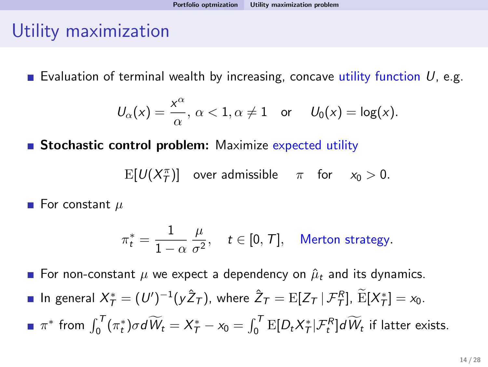# Utility maximization

Evaluation of terminal wealth by increasing, concave utility function  $U$ , e.g.

$$
U_{\alpha}(x) = \frac{x^{\alpha}}{\alpha}, \ \alpha < 1, \alpha \neq 1
$$
 or  $U_0(x) = \log(x)$ .

**Stochastic control problem:** Maximize expected utility

 $E[U(X_T^{\pi})]$  over admissible  $\pi$  for  $x_0 > 0$ .

■ For constant  $\mu$ 

<span id="page-13-0"></span>
$$
\pi^*_t = \frac{1}{1-\alpha} \frac{\mu}{\sigma^2}, \quad t \in [0, T], \quad \text{Merton strategy.}
$$

For non-constant  $\mu$  we expect a dependency on  $\hat{\mu}_t$  and its dynamics. In general  $X^*_{\mathcal{T}} = (U')^{-1}(y\hat{Z}_{\mathcal{T}})$ , where  $\hat{Z}_{\mathcal{T}} = \mathrm{E}[Z_{\mathcal{T}} | \mathcal{F}^R_{\mathcal{T}}]$ ,  $\widetilde{\mathrm{E}}[X^*_{\mathcal{T}}] = x_0$ .  $\pi^*$  from  $\int_0^T (\pi_t^*) \sigma d\widetilde{W}_t = X_T^* - x_0 = \int_0^T \mathrm{E}[D_t X_T^* | \mathcal{F}_t^R] d\widetilde{W}_t$  if latter exists.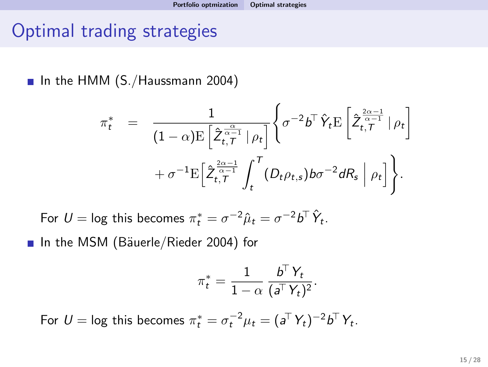# Optimal trading strategies

In the HMM  $(S./Haussmann 2004)$ 

$$
\pi_t^* = \frac{1}{(1-\alpha) \mathbb{E} \left[ \hat{Z}_{t,\mathcal{T}}^{\frac{\alpha}{\alpha-1}} | \rho_t \right]} \left\{ \sigma^{-2} b^{\top} \hat{Y}_t \mathbb{E} \left[ \hat{Z}_{t,\mathcal{T}}^{\frac{2\alpha-1}{\alpha-1}} | \rho_t \right] + \sigma^{-1} \mathbb{E} \left[ \hat{Z}_{t,\mathcal{T}}^{\frac{2\alpha-1}{\alpha-1}} \int_t^{\mathcal{T}} (D_t \rho_{t,s}) b \sigma^{-2} dR_s | \rho_t \right] \right\}.
$$

For  $U = \log$  this becomes  $\pi_t^* = \sigma^{-2} \hat{\mu}_t = \sigma^{-2} b^{\top} \hat{Y}_t$ .

■ In the MSM (Bäuerle/Rieder 2004) for

<span id="page-14-0"></span>
$$
\pi^*_t = \frac{1}{1-\alpha} \, \frac{b^\top \, \Upsilon_t}{(a^\top \, \Upsilon_t)^2}.
$$

For  $U = \log$  this becomes  $\pi_t^* = \sigma_t^{-2} \mu_t = (a^T Y_t)^{-2} b^T Y_t$ .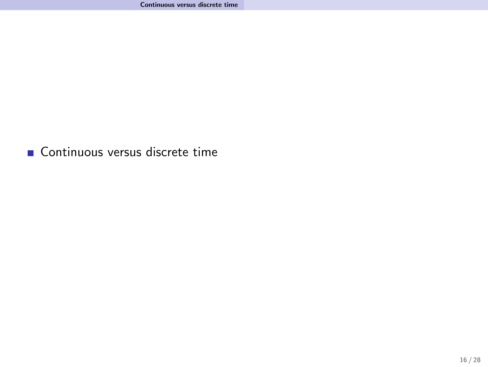<span id="page-15-0"></span>Continuous versus discrete time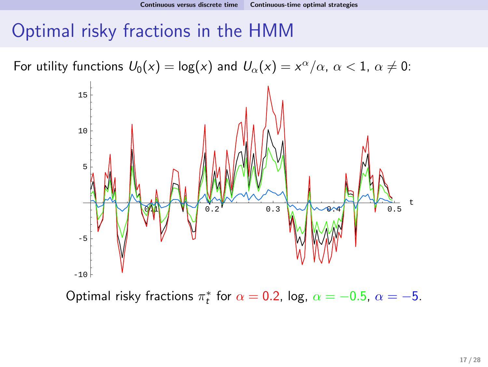# Optimal risky fractions in the HMM

For utility functions  $U_0(x) = \log(x)$  and  $U_\alpha(x) = x^\alpha/\alpha$ ,  $\alpha < 1$ ,  $\alpha \neq 0$ :



<span id="page-16-0"></span>Optimal risky fractions  $\pi_t^*$  for  $\alpha = 0.2$ , log,  $\alpha = -0.5$ ,  $\alpha = -5$ .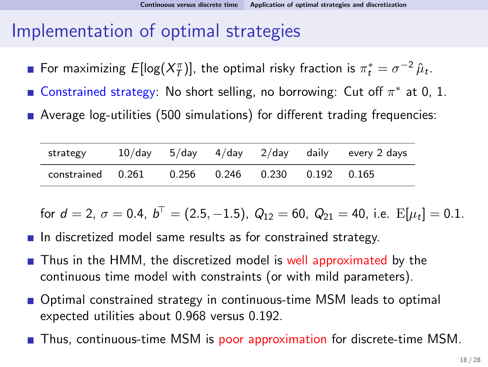# Implementation of optimal strategies

- For maximizing  $E[\log(X_T^{\pi})]$ , the optimal risky fraction is  $\pi^*_t = \sigma^{-2}\hat{\mu}_t$ .
- Constrained strategy: No short selling, no borrowing: Cut off  $\pi^*$  at 0, 1.
- Average log-utilities (500 simulations) for different trading frequencies:

| strategy                                                                                                                                                                                                                                                                                                            |  |                                   |  | $10$ /day 5/day 4/day 2/day daily every 2 days |
|---------------------------------------------------------------------------------------------------------------------------------------------------------------------------------------------------------------------------------------------------------------------------------------------------------------------|--|-----------------------------------|--|------------------------------------------------|
| $\frac{1}{2}$ $\frac{1}{2}$ $\frac{1}{2}$ $\frac{1}{2}$ $\frac{1}{2}$ $\frac{1}{2}$ $\frac{1}{2}$ $\frac{1}{2}$ $\frac{1}{2}$ $\frac{1}{2}$ $\frac{1}{2}$ $\frac{1}{2}$ $\frac{1}{2}$ $\frac{1}{2}$ $\frac{1}{2}$ $\frac{1}{2}$ $\frac{1}{2}$ $\frac{1}{2}$ $\frac{1}{2}$ $\frac{1}{2}$ $\frac{1}{2}$ $\frac{1}{2}$ |  | 0.256  0.246  0.230  0.192  0.165 |  |                                                |

for  $d=2, \ \sigma=0.4, \ b^\top=(2.5, -1.5), \ Q_{12}=60, \ Q_{21}=40,$  i.e.  $\text{E}[\mu_t]=0.1.$ 

- $\blacksquare$  In discretized model same results as for constrained strategy.
- **Thus in the HMM, the discretized model is well approximated by the** continuous time model with constraints (or with mild parameters).
- Optimal constrained strategy in continuous-time MSM leads to optimal expected utilities about 0.968 versus 0.192.
- <span id="page-17-0"></span>**Thus, continuous-time MSM is poor approximation for discrete-time MSM.**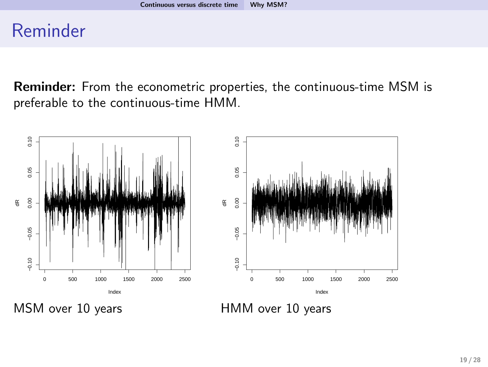# Reminder

Reminder: From the econometric properties, the continuous-time MSM is preferable to the continuous-time HMM.



<span id="page-18-0"></span>

MSM over 10 years **HMM** over 10 years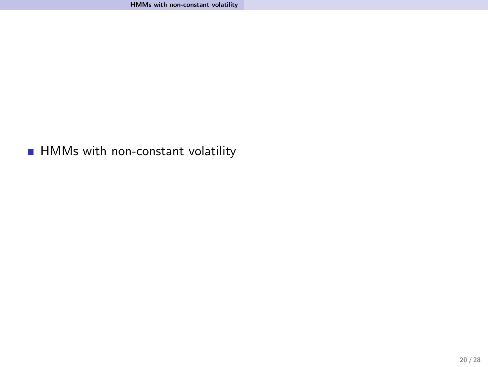<span id="page-19-0"></span>**HMMs** with non-constant volatility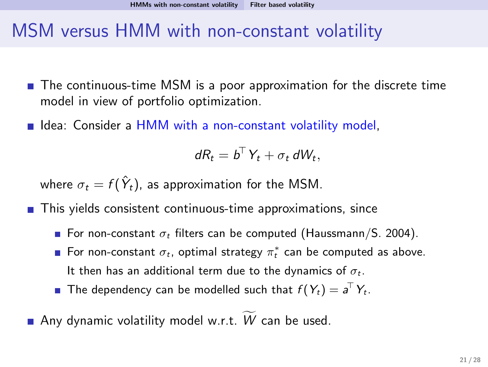## MSM versus HMM with non-constant volatility

- $\blacksquare$  The continuous-time MSM is a poor approximation for the discrete time model in view of portfolio optimization.
- I Idea: Consider a HMM with a non-constant volatility model.

<span id="page-20-0"></span>
$$
dR_t = b^{\top} Y_t + \sigma_t dW_t,
$$

where  $\sigma_t = f(\hat{Y}_t)$ , as approximation for the MSM.

- **This yields consistent continuous-time approximations, since** 
	- For non-constant  $\sigma_t$  filters can be computed (Haussmann/S. 2004).
	- For non-constant  $\sigma_t$ , optimal strategy  $\pi^*_t$  can be computed as above. It then has an additional term due to the dynamics of  $\sigma_t$ .
	- The dependency can be modelled such that  $f(Y_t) = a^{\top} Y_t$ .
- Any dynamic volatility model w.r.t.  $\widetilde{W}$  can be used.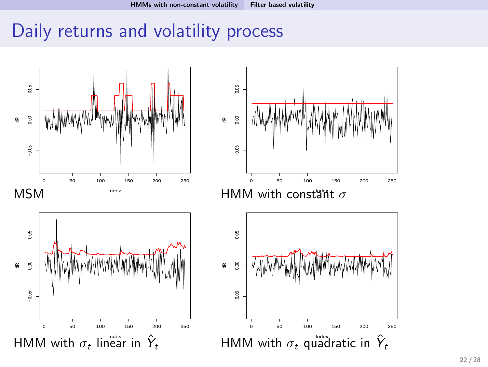# Daily returns and volatility process





<span id="page-21-0"></span>

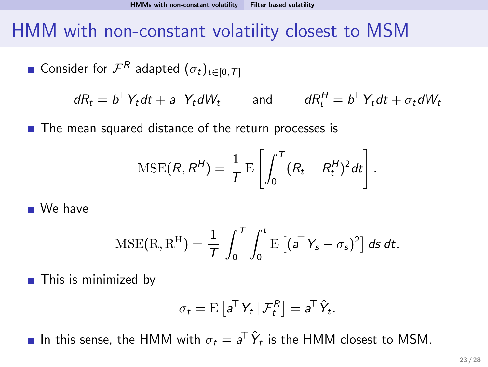# HMM with non-constant volatility closest to MSM

\n- Consider for 
$$
\mathcal{F}^R
$$
 adapted  $(\sigma_t)_{t \in [0, T]}$
\n- $dR_t = b^{\top} Y_t dt + a^{\top} Y_t dW_t$  and  $dR_t^H = b^{\top} Y_t dt + \sigma_t dW_t$
\n

■ The mean squared distance of the return processes is

$$
\text{MSE}(R, R^H) = \frac{1}{T} \mathbb{E}\left[\int_0^T (R_t - R_t^H)^2 dt\right].
$$

We have

$$
MSE(R, R^{H}) = \frac{1}{T} \int_0^T \int_0^t E\left[ (a^T Y_s - \sigma_s)^2 \right] ds dt.
$$

**This is minimized by** 

<span id="page-22-0"></span>
$$
\sigma_t = \mathrm{E}\left[a^{\top} Y_t \,|\, \mathcal{F}_t^R\right] = a^{\top} \hat{Y}_t.
$$

In this sense, the HMM with  $\sigma_t = a^{\top} \hat{Y}_t$  is the HMM closest to MSM.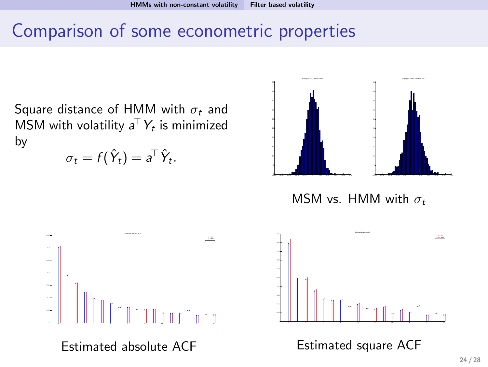# Comparison of some econometric properties

Square distance of HMM with  $\sigma_t$  and MSM with volatility  $a^{\top} Y_t$  is minimized by

$$
\sigma_t = f(\hat{Y}_t) = a^{\top} \hat{Y}_t.
$$



<span id="page-23-0"></span>MSM vs. HMM with  $\sigma_t$ 



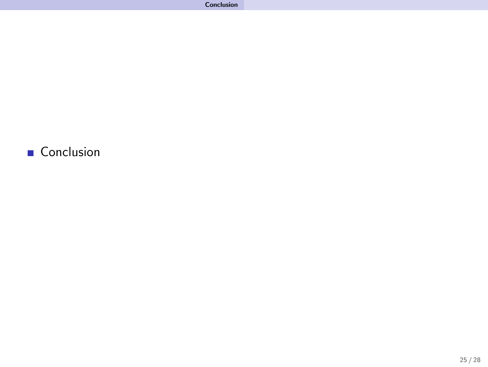<span id="page-24-0"></span>[Conclusion](#page-24-0)

#### Conclusion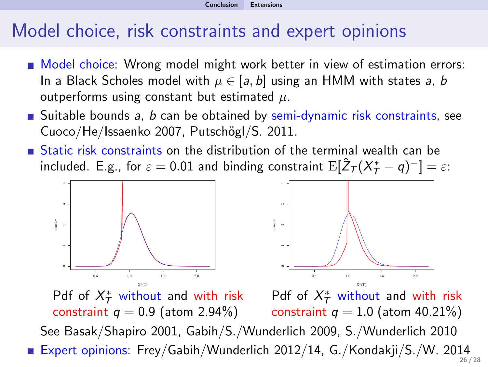# Model choice, risk constraints and expert opinions

- Model choice: Wrong model might work better in view of estimation errors: In a Black Scholes model with  $\mu \in [a, b]$  using an HMM with states a, b outperforms using constant but estimated  $\mu$ .
- **Suitable bounds a, b can be obtained by semi-dynamic risk constraints, see** Cuoco/He/Issaenko 2007, Putschögl/S. 2011.
- Static risk constraints on the distribution of the terminal wealth can be included. E.g., for  $\varepsilon = 0.01$  and binding constraint  $\mathrm{E}[\hat{Z}_T(X_T^* - q)^{-}] = \varepsilon$ :



<span id="page-25-0"></span>

Pdf of  $X^*$  without and with risk constraint  $q = 0.9$  (atom 2.94%) Pdf of  $X^*$  without and with risk constraint  $q = 1.0$  (atom 40.21%) See Basak/Shapiro 2001, Gabih/S./Wunderlich 2009, S./Wunderlich 2010 ■ Expert opinions: Frey/Gabih/Wunderlich 2012/14, G./Kondakji/S./W. 2014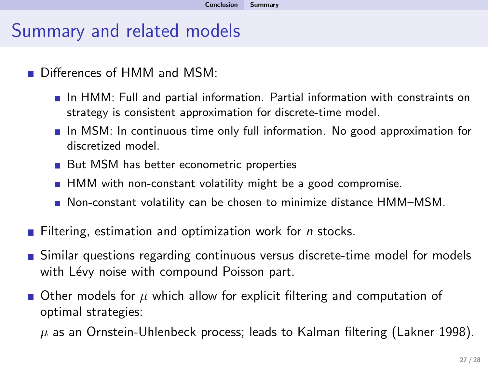# Summary and related models

- Differences of HMM and MSM.
	- **In HMM:** Full and partial information. Partial information with constraints on strategy is consistent approximation for discrete-time model.
	- In MSM: In continuous time only full information. No good approximation for discretized model.
	- But MSM has better econometric properties
	- **HMM** with non-constant volatility might be a good compromise.
	- Non-constant volatility can be chosen to minimize distance HMM–MSM.
- Filtering, estimation and optimization work for *n* stocks.
- Similar questions regarding continuous versus discrete-time model for models with Lévy noise with compound Poisson part.
- <span id="page-26-0"></span>Other models for  $\mu$  which allow for explicit filtering and computation of optimal strategies:
	- $\mu$  as an Ornstein-Uhlenbeck process; leads to Kalman filtering (Lakner 1998).